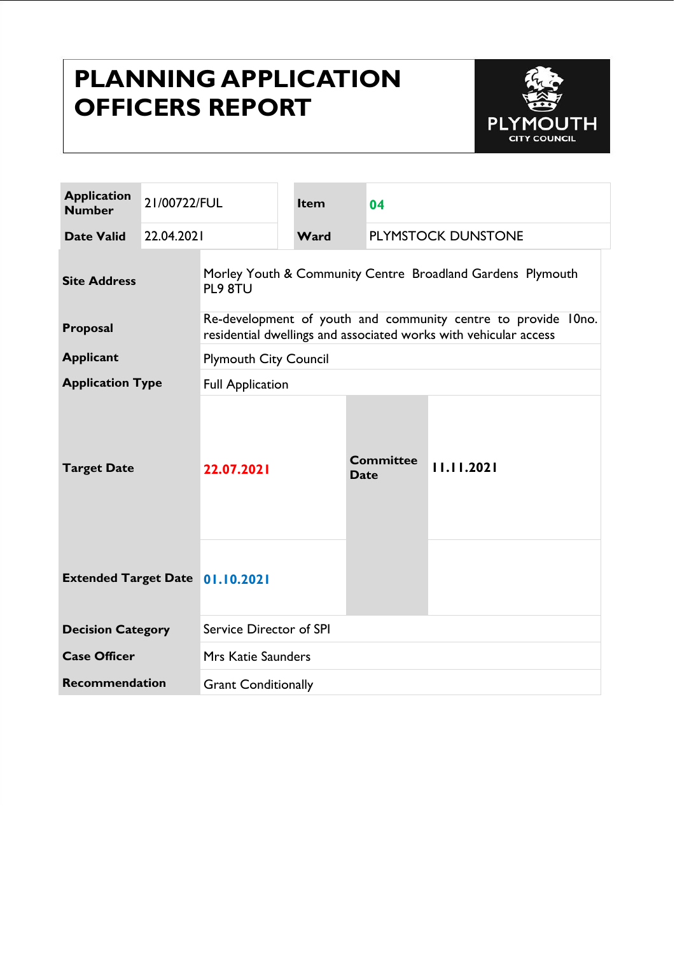# **PLANNING APPLICATION OFFICERS REPORT**



| <b>Application</b><br><b>Number</b>    | 21/00722/FUL |                                                                                                                                   |  | <b>Item</b>                       | 04                              |            |
|----------------------------------------|--------------|-----------------------------------------------------------------------------------------------------------------------------------|--|-----------------------------------|---------------------------------|------------|
| <b>Date Valid</b>                      | 22.04.2021   |                                                                                                                                   |  | <b>PLYMSTOCK DUNSTONE</b><br>Ward |                                 |            |
| <b>Site Address</b>                    |              | Morley Youth & Community Centre Broadland Gardens Plymouth<br>PL9 8TU                                                             |  |                                   |                                 |            |
| Proposal                               |              | Re-development of youth and community centre to provide 10no.<br>residential dwellings and associated works with vehicular access |  |                                   |                                 |            |
| <b>Applicant</b>                       |              | <b>Plymouth City Council</b>                                                                                                      |  |                                   |                                 |            |
| <b>Application Type</b>                |              | <b>Full Application</b>                                                                                                           |  |                                   |                                 |            |
| <b>Target Date</b>                     |              | 22.07.2021                                                                                                                        |  |                                   | <b>Committee</b><br><b>Date</b> | 11.11.2021 |
| <b>Extended Target Date 01.10.2021</b> |              |                                                                                                                                   |  |                                   |                                 |            |
| <b>Decision Category</b>               |              | Service Director of SPI                                                                                                           |  |                                   |                                 |            |
| <b>Case Officer</b>                    |              | <b>Mrs Katie Saunders</b>                                                                                                         |  |                                   |                                 |            |
| <b>Recommendation</b>                  |              | <b>Grant Conditionally</b>                                                                                                        |  |                                   |                                 |            |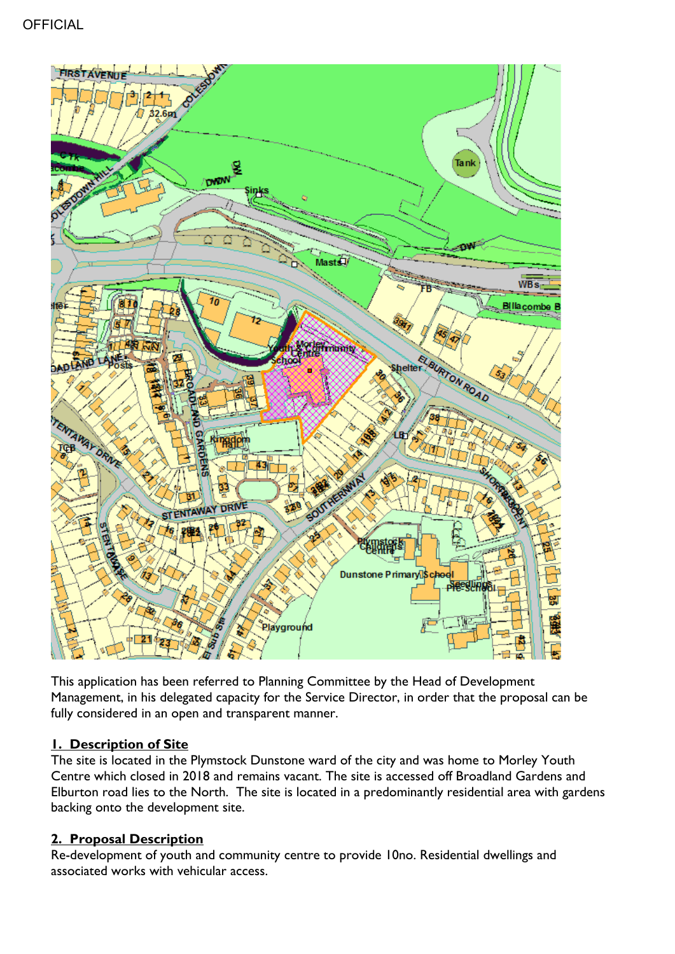

This application has been referred to Planning Committee by the Head of Development Management, in his delegated capacity for the Service Director, in order that the proposal can be fully considered in an open and transparent manner.

# **1. Description of Site**

The site is located in the Plymstock Dunstone ward of the city and was home to Morley Youth Centre which closed in 2018 and remains vacant. The site is accessed off Broadland Gardens and Elburton road lies to the North. The site is located in a predominantly residential area with gardens backing onto the development site.

# **2. Proposal Description**

Re-development of youth and community centre to provide 10no. Residential dwellings and associated works with vehicular access.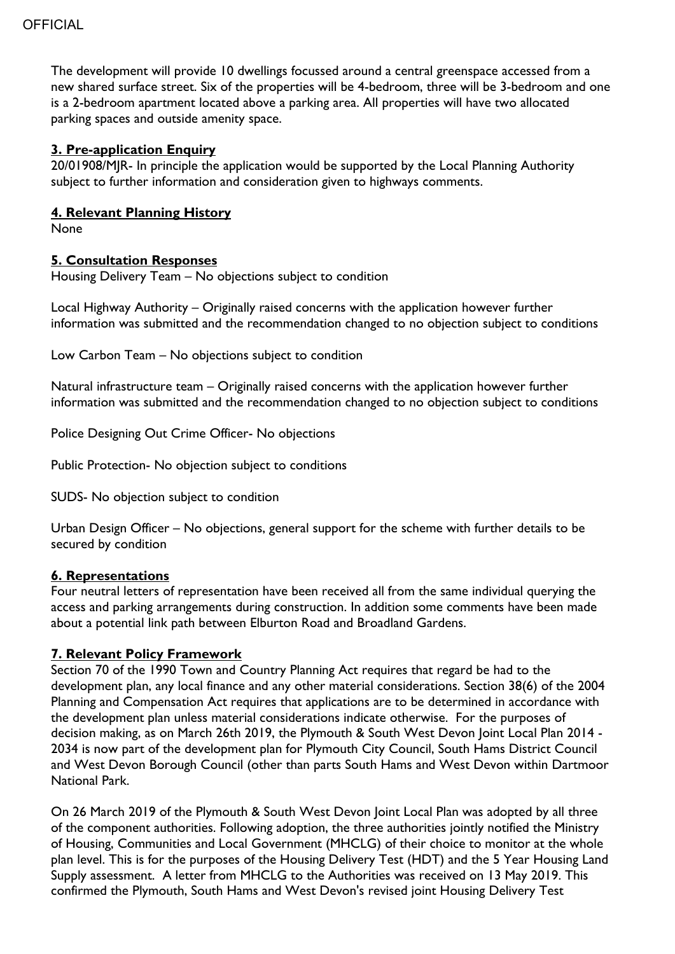The development will provide 10 dwellings focussed around a central greenspace accessed from a new shared surface street. Six of the properties will be 4-bedroom, three will be 3-bedroom and one is a 2-bedroom apartment located above a parking area. All properties will have two allocated parking spaces and outside amenity space.

#### **3. Pre-application Enquiry**

20/01908/MJR- In principle the application would be supported by the Local Planning Authority subject to further information and consideration given to highways comments.

#### **4. Relevant Planning History**

None

#### **5. Consultation Responses**

Housing Delivery Team – No objections subject to condition

Local Highway Authority – Originally raised concerns with the application however further information was submitted and the recommendation changed to no objection subject to conditions

Low Carbon Team – No objections subject to condition

Natural infrastructure team – Originally raised concerns with the application however further information was submitted and the recommendation changed to no objection subject to conditions

Police Designing Out Crime Officer- No objections

Public Protection- No objection subject to conditions

SUDS- No objection subject to condition

Urban Design Officer – No objections, general support for the scheme with further details to be secured by condition

#### **6. Representations**

Four neutral letters of representation have been received all from the same individual querying the access and parking arrangements during construction. In addition some comments have been made about a potential link path between Elburton Road and Broadland Gardens.

#### **7. Relevant Policy Framework**

Section 70 of the 1990 Town and Country Planning Act requires that regard be had to the development plan, any local finance and any other material considerations. Section 38(6) of the 2004 Planning and Compensation Act requires that applications are to be determined in accordance with the development plan unless material considerations indicate otherwise. For the purposes of decision making, as on March 26th 2019, the Plymouth & South West Devon Joint Local Plan 2014 - 2034 is now part of the development plan for Plymouth City Council, South Hams District Council and West Devon Borough Council (other than parts South Hams and West Devon within Dartmoor National Park.

On 26 March 2019 of the Plymouth & South West Devon Joint Local Plan was adopted by all three of the component authorities. Following adoption, the three authorities jointly notified the Ministry of Housing, Communities and Local Government (MHCLG) of their choice to monitor at the whole plan level. This is for the purposes of the Housing Delivery Test (HDT) and the 5 Year Housing Land Supply assessment. A letter from MHCLG to the Authorities was received on 13 May 2019. This confirmed the Plymouth, South Hams and West Devon's revised joint Housing Delivery Test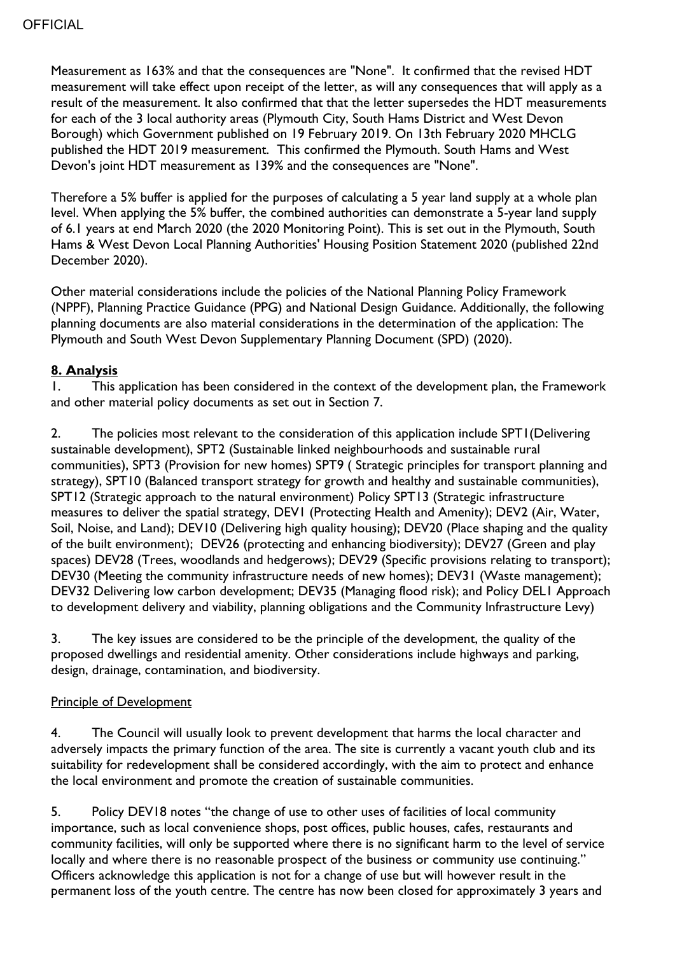Measurement as 163% and that the consequences are "None". It confirmed that the revised HDT measurement will take effect upon receipt of the letter, as will any consequences that will apply as a result of the measurement. It also confirmed that that the letter supersedes the HDT measurements for each of the 3 local authority areas (Plymouth City, South Hams District and West Devon Borough) which Government published on 19 February 2019. On 13th February 2020 MHCLG published the HDT 2019 measurement. This confirmed the Plymouth. South Hams and West Devon's joint HDT measurement as 139% and the consequences are "None".

Therefore a 5% buffer is applied for the purposes of calculating a 5 year land supply at a whole plan level. When applying the 5% buffer, the combined authorities can demonstrate a 5-year land supply of 6.1 years at end March 2020 (the 2020 Monitoring Point). This is set out in the Plymouth, South Hams & West Devon Local Planning Authorities' Housing Position Statement 2020 (published 22nd December 2020).

Other material considerations include the policies of the National Planning Policy Framework (NPPF), Planning Practice Guidance (PPG) and National Design Guidance. Additionally, the following planning documents are also material considerations in the determination of the application: The Plymouth and South West Devon Supplementary Planning Document (SPD) (2020).

#### **8. Analysis**

1. This application has been considered in the context of the development plan, the Framework and other material policy documents as set out in Section 7.

2. The policies most relevant to the consideration of this application include SPT1 (Delivering sustainable development), SPT2 (Sustainable linked neighbourhoods and sustainable rural communities), SPT3 (Provision for new homes) SPT9 ( Strategic principles for transport planning and strategy), SPT10 (Balanced transport strategy for growth and healthy and sustainable communities), SPT12 (Strategic approach to the natural environment) Policy SPT13 (Strategic infrastructure measures to deliver the spatial strategy, DEV1 (Protecting Health and Amenity); DEV2 (Air, Water, Soil, Noise, and Land); DEV10 (Delivering high quality housing); DEV20 (Place shaping and the quality of the built environment); DEV26 (protecting and enhancing biodiversity); DEV27 (Green and play spaces) DEV28 (Trees, woodlands and hedgerows); DEV29 (Specific provisions relating to transport); DEV30 (Meeting the community infrastructure needs of new homes); DEV31 (Waste management); DEV32 Delivering low carbon development; DEV35 (Managing flood risk); and Policy DEL1 Approach to development delivery and viability, planning obligations and the Community Infrastructure Levy)

3. The key issues are considered to be the principle of the development, the quality of the proposed dwellings and residential amenity. Other considerations include highways and parking, design, drainage, contamination, and biodiversity.

#### Principle of Development

4. The Council will usually look to prevent development that harms the local character and adversely impacts the primary function of the area. The site is currently a vacant youth club and its suitability for redevelopment shall be considered accordingly, with the aim to protect and enhance the local environment and promote the creation of sustainable communities.

5. Policy DEV18 notes "the change of use to other uses of facilities of local community importance, such as local convenience shops, post offices, public houses, cafes, restaurants and community facilities, will only be supported where there is no significant harm to the level of service locally and where there is no reasonable prospect of the business or community use continuing." Officers acknowledge this application is not for a change of use but will however result in the permanent loss of the youth centre. The centre has now been closed for approximately 3 years and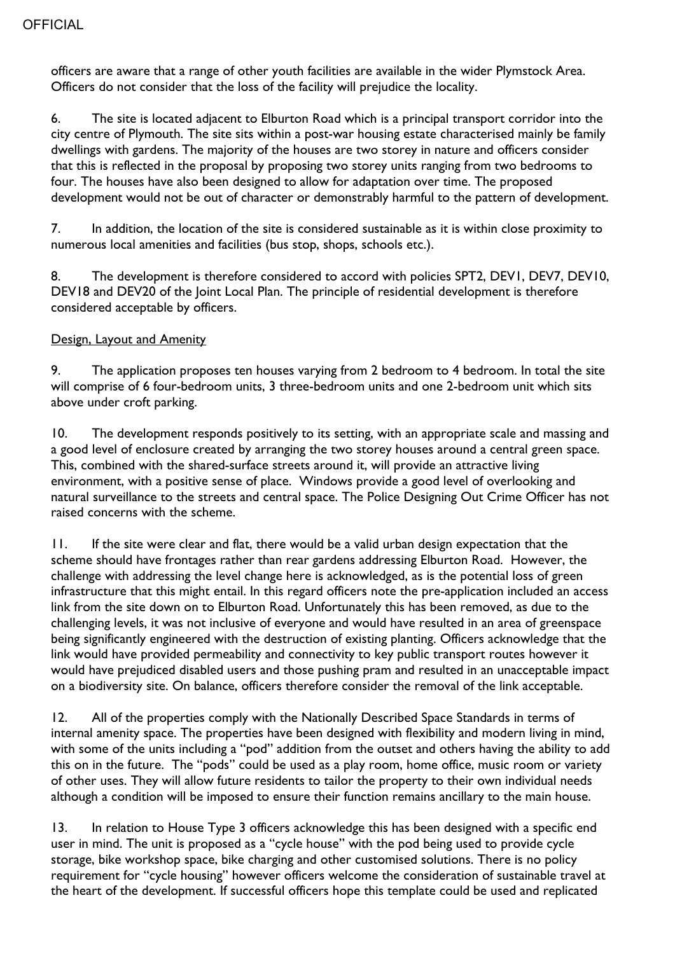officers are aware that a range of other youth facilities are available in the wider Plymstock Area. Officers do not consider that the loss of the facility will prejudice the locality.

6. The site is located adjacent to Elburton Road which is a principal transport corridor into the city centre of Plymouth. The site sits within a post-war housing estate characterised mainly be family dwellings with gardens. The majority of the houses are two storey in nature and officers consider that this is reflected in the proposal by proposing two storey units ranging from two bedrooms to four. The houses have also been designed to allow for adaptation over time. The proposed development would not be out of character or demonstrably harmful to the pattern of development.

7. In addition, the location of the site is considered sustainable as it is within close proximity to numerous local amenities and facilities (bus stop, shops, schools etc.).

8. The development is therefore considered to accord with policies SPT2, DEVI, DEV7, DEVI0, DEV18 and DEV20 of the Joint Local Plan. The principle of residential development is therefore considered acceptable by officers.

#### Design, Layout and Amenity

9. The application proposes ten houses varying from 2 bedroom to 4 bedroom. In total the site will comprise of 6 four-bedroom units, 3 three-bedroom units and one 2-bedroom unit which sits above under croft parking.

10. The development responds positively to its setting, with an appropriate scale and massing and a good level of enclosure created by arranging the two storey houses around a central green space. This, combined with the shared-surface streets around it, will provide an attractive living environment, with a positive sense of place. Windows provide a good level of overlooking and natural surveillance to the streets and central space. The Police Designing Out Crime Officer has not raised concerns with the scheme.

11. If the site were clear and flat, there would be a valid urban design expectation that the scheme should have frontages rather than rear gardens addressing Elburton Road. However, the challenge with addressing the level change here is acknowledged, as is the potential loss of green infrastructure that this might entail. In this regard officers note the pre-application included an access link from the site down on to Elburton Road. Unfortunately this has been removed, as due to the challenging levels, it was not inclusive of everyone and would have resulted in an area of greenspace being significantly engineered with the destruction of existing planting. Officers acknowledge that the link would have provided permeability and connectivity to key public transport routes however it would have prejudiced disabled users and those pushing pram and resulted in an unacceptable impact on a biodiversity site. On balance, officers therefore consider the removal of the link acceptable.

12. All of the properties comply with the Nationally Described Space Standards in terms of internal amenity space. The properties have been designed with flexibility and modern living in mind, with some of the units including a "pod" addition from the outset and others having the ability to add this on in the future. The "pods" could be used as a play room, home office, music room or variety of other uses. They will allow future residents to tailor the property to their own individual needs although a condition will be imposed to ensure their function remains ancillary to the main house.

13. In relation to House Type 3 officers acknowledge this has been designed with a specific end user in mind. The unit is proposed as a "cycle house" with the pod being used to provide cycle storage, bike workshop space, bike charging and other customised solutions. There is no policy requirement for "cycle housing" however officers welcome the consideration of sustainable travel at the heart of the development. If successful officers hope this template could be used and replicated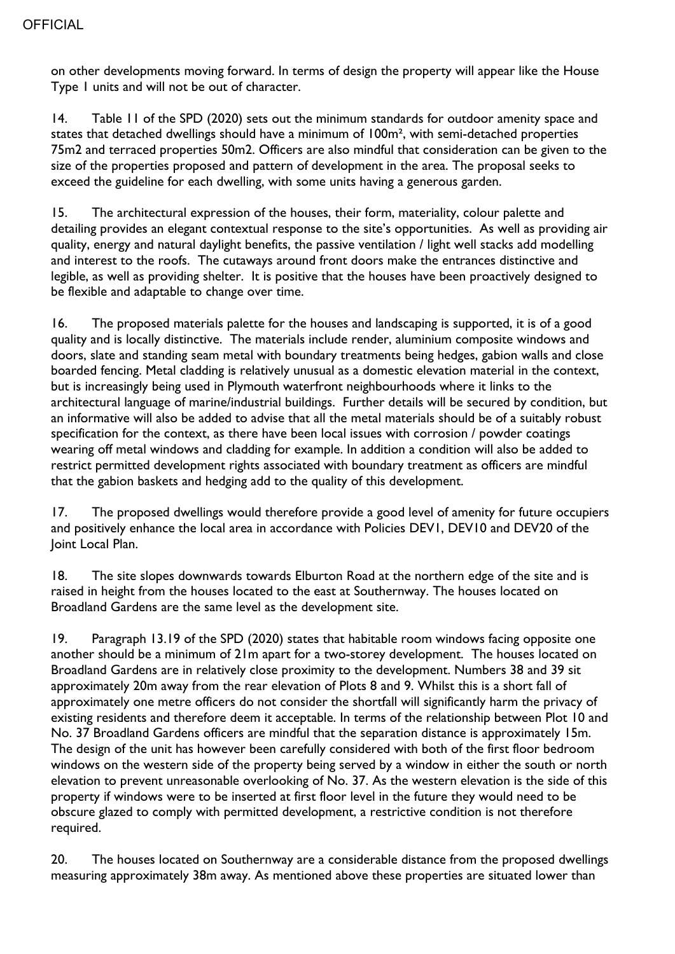on other developments moving forward. In terms of design the property will appear like the House Type 1 units and will not be out of character.

14. Table 11 of the SPD (2020) sets out the minimum standards for outdoor amenity space and states that detached dwellings should have a minimum of 100m<sup>2</sup>, with semi-detached properties 75m2 and terraced properties 50m2. Officers are also mindful that consideration can be given to the size of the properties proposed and pattern of development in the area. The proposal seeks to exceed the guideline for each dwelling, with some units having a generous garden.

15. The architectural expression of the houses, their form, materiality, colour palette and detailing provides an elegant contextual response to the site's opportunities. As well as providing air quality, energy and natural daylight benefits, the passive ventilation / light well stacks add modelling and interest to the roofs. The cutaways around front doors make the entrances distinctive and legible, as well as providing shelter. It is positive that the houses have been proactively designed to be flexible and adaptable to change over time.

16. The proposed materials palette for the houses and landscaping is supported, it is of a good quality and is locally distinctive. The materials include render, aluminium composite windows and doors, slate and standing seam metal with boundary treatments being hedges, gabion walls and close boarded fencing. Metal cladding is relatively unusual as a domestic elevation material in the context, but is increasingly being used in Plymouth waterfront neighbourhoods where it links to the architectural language of marine/industrial buildings. Further details will be secured by condition, but an informative will also be added to advise that all the metal materials should be of a suitably robust specification for the context, as there have been local issues with corrosion / powder coatings wearing off metal windows and cladding for example. In addition a condition will also be added to restrict permitted development rights associated with boundary treatment as officers are mindful that the gabion baskets and hedging add to the quality of this development.

17. The proposed dwellings would therefore provide a good level of amenity for future occupiers and positively enhance the local area in accordance with Policies DEV1, DEV10 and DEV20 of the Joint Local Plan.

18. The site slopes downwards towards Elburton Road at the northern edge of the site and is raised in height from the houses located to the east at Southernway. The houses located on Broadland Gardens are the same level as the development site.

19. Paragraph 13.19 of the SPD (2020) states that habitable room windows facing opposite one another should be a minimum of 21m apart for a two-storey development. The houses located on Broadland Gardens are in relatively close proximity to the development. Numbers 38 and 39 sit approximately 20m away from the rear elevation of Plots 8 and 9. Whilst this is a short fall of approximately one metre officers do not consider the shortfall will significantly harm the privacy of existing residents and therefore deem it acceptable. In terms of the relationship between Plot 10 and No. 37 Broadland Gardens officers are mindful that the separation distance is approximately 15m. The design of the unit has however been carefully considered with both of the first floor bedroom windows on the western side of the property being served by a window in either the south or north elevation to prevent unreasonable overlooking of No. 37. As the western elevation is the side of this property if windows were to be inserted at first floor level in the future they would need to be obscure glazed to comply with permitted development, a restrictive condition is not therefore required.

20. The houses located on Southernway are a considerable distance from the proposed dwellings measuring approximately 38m away. As mentioned above these properties are situated lower than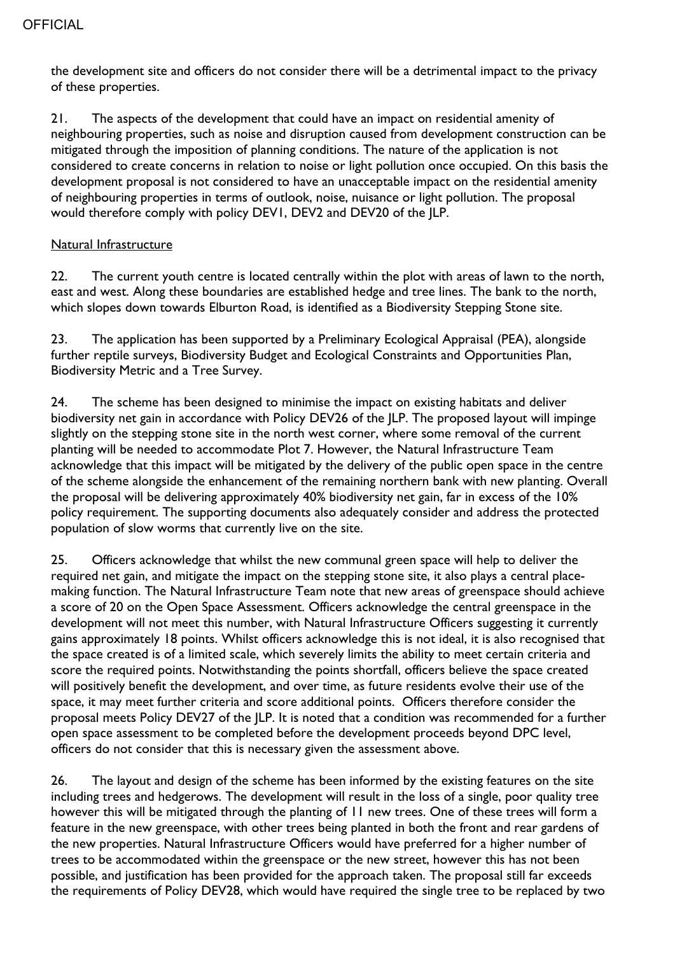the development site and officers do not consider there will be a detrimental impact to the privacy of these properties.

21. The aspects of the development that could have an impact on residential amenity of neighbouring properties, such as noise and disruption caused from development construction can be mitigated through the imposition of planning conditions. The nature of the application is not considered to create concerns in relation to noise or light pollution once occupied. On this basis the development proposal is not considered to have an unacceptable impact on the residential amenity of neighbouring properties in terms of outlook, noise, nuisance or light pollution. The proposal would therefore comply with policy DEV1, DEV2 and DEV20 of the JLP.

#### Natural Infrastructure

22. The current youth centre is located centrally within the plot with areas of lawn to the north, east and west. Along these boundaries are established hedge and tree lines. The bank to the north, which slopes down towards Elburton Road, is identified as a Biodiversity Stepping Stone site.

23. The application has been supported by a Preliminary Ecological Appraisal (PEA), alongside further reptile surveys, Biodiversity Budget and Ecological Constraints and Opportunities Plan, Biodiversity Metric and a Tree Survey.

24. The scheme has been designed to minimise the impact on existing habitats and deliver biodiversity net gain in accordance with Policy DEV26 of the JLP. The proposed layout will impinge slightly on the stepping stone site in the north west corner, where some removal of the current planting will be needed to accommodate Plot 7. However, the Natural Infrastructure Team acknowledge that this impact will be mitigated by the delivery of the public open space in the centre of the scheme alongside the enhancement of the remaining northern bank with new planting. Overall the proposal will be delivering approximately 40% biodiversity net gain, far in excess of the 10% policy requirement. The supporting documents also adequately consider and address the protected population of slow worms that currently live on the site.

25. Officers acknowledge that whilst the new communal green space will help to deliver the required net gain, and mitigate the impact on the stepping stone site, it also plays a central placemaking function. The Natural Infrastructure Team note that new areas of greenspace should achieve a score of 20 on the Open Space Assessment. Officers acknowledge the central greenspace in the development will not meet this number, with Natural Infrastructure Officers suggesting it currently gains approximately 18 points. Whilst officers acknowledge this is not ideal, it is also recognised that the space created is of a limited scale, which severely limits the ability to meet certain criteria and score the required points. Notwithstanding the points shortfall, officers believe the space created will positively benefit the development, and over time, as future residents evolve their use of the space, it may meet further criteria and score additional points. Officers therefore consider the proposal meets Policy DEV27 of the JLP. It is noted that a condition was recommended for a further open space assessment to be completed before the development proceeds beyond DPC level, officers do not consider that this is necessary given the assessment above.

26. The layout and design of the scheme has been informed by the existing features on the site including trees and hedgerows. The development will result in the loss of a single, poor quality tree however this will be mitigated through the planting of 11 new trees. One of these trees will form a feature in the new greenspace, with other trees being planted in both the front and rear gardens of the new properties. Natural Infrastructure Officers would have preferred for a higher number of trees to be accommodated within the greenspace or the new street, however this has not been possible, and justification has been provided for the approach taken. The proposal still far exceeds the requirements of Policy DEV28, which would have required the single tree to be replaced by two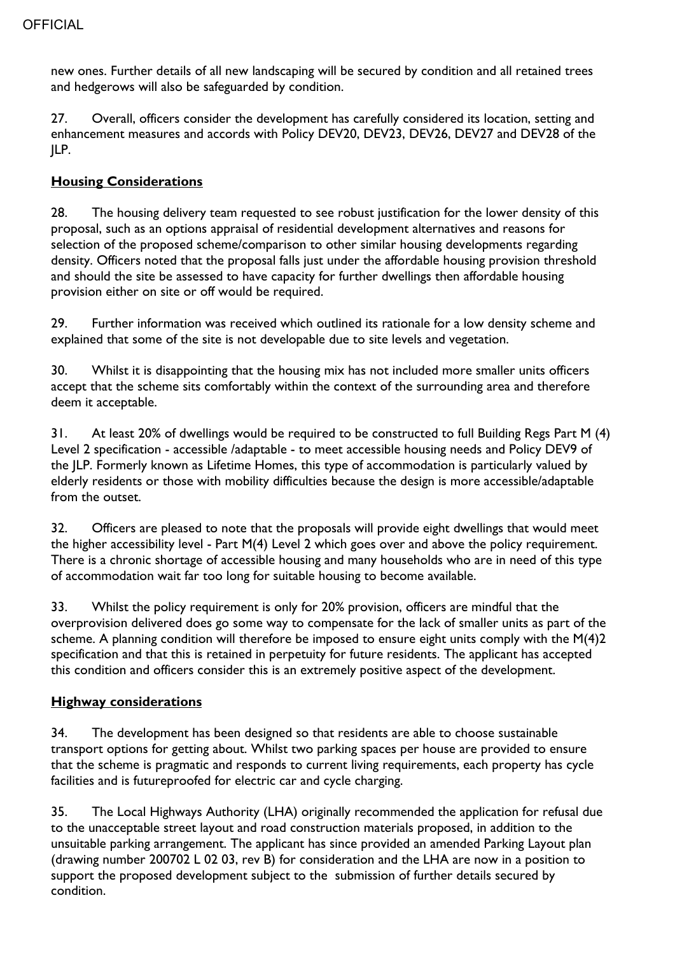new ones. Further details of all new landscaping will be secured by condition and all retained trees and hedgerows will also be safeguarded by condition.

27. Overall, officers consider the development has carefully considered its location, setting and enhancement measures and accords with Policy DEV20, DEV23, DEV26, DEV27 and DEV28 of the JLP.

## **Housing Considerations**

28. The housing delivery team requested to see robust justification for the lower density of this proposal, such as an options appraisal of residential development alternatives and reasons for selection of the proposed scheme/comparison to other similar housing developments regarding density. Officers noted that the proposal falls just under the affordable housing provision threshold and should the site be assessed to have capacity for further dwellings then affordable housing provision either on site or off would be required.

29. Further information was received which outlined its rationale for a low density scheme and explained that some of the site is not developable due to site levels and vegetation.

30. Whilst it is disappointing that the housing mix has not included more smaller units officers accept that the scheme sits comfortably within the context of the surrounding area and therefore deem it acceptable.

31. At least 20% of dwellings would be required to be constructed to full Building Regs Part M (4) Level 2 specification - accessible /adaptable - to meet accessible housing needs and Policy DEV9 of the JLP. Formerly known as Lifetime Homes, this type of accommodation is particularly valued by elderly residents or those with mobility difficulties because the design is more accessible/adaptable from the outset.

32. Officers are pleased to note that the proposals will provide eight dwellings that would meet the higher accessibility level - Part M(4) Level 2 which goes over and above the policy requirement. There is a chronic shortage of accessible housing and many households who are in need of this type of accommodation wait far too long for suitable housing to become available.

33. Whilst the policy requirement is only for 20% provision, officers are mindful that the overprovision delivered does go some way to compensate for the lack of smaller units as part of the scheme. A planning condition will therefore be imposed to ensure eight units comply with the M(4)2 specification and that this is retained in perpetuity for future residents. The applicant has accepted this condition and officers consider this is an extremely positive aspect of the development.

#### **Highway considerations**

34. The development has been designed so that residents are able to choose sustainable transport options for getting about. Whilst two parking spaces per house are provided to ensure that the scheme is pragmatic and responds to current living requirements, each property has cycle facilities and is futureproofed for electric car and cycle charging.

35. The Local Highways Authority (LHA) originally recommended the application for refusal due to the unacceptable street layout and road construction materials proposed, in addition to the unsuitable parking arrangement. The applicant has since provided an amended Parking Layout plan (drawing number 200702 L 02 03, rev B) for consideration and the LHA are now in a position to support the proposed development subject to the submission of further details secured by condition.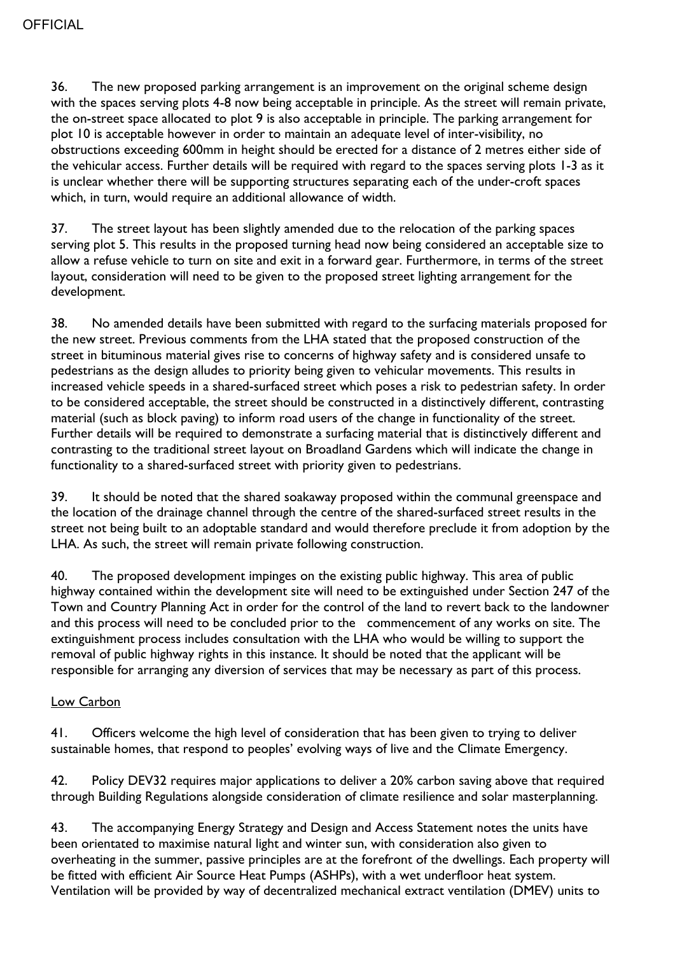36. The new proposed parking arrangement is an improvement on the original scheme design with the spaces serving plots 4-8 now being acceptable in principle. As the street will remain private, the on-street space allocated to plot 9 is also acceptable in principle. The parking arrangement for plot 10 is acceptable however in order to maintain an adequate level of inter-visibility, no obstructions exceeding 600mm in height should be erected for a distance of 2 metres either side of the vehicular access. Further details will be required with regard to the spaces serving plots 1-3 as it is unclear whether there will be supporting structures separating each of the under-croft spaces which, in turn, would require an additional allowance of width.

37. The street layout has been slightly amended due to the relocation of the parking spaces serving plot 5. This results in the proposed turning head now being considered an acceptable size to allow a refuse vehicle to turn on site and exit in a forward gear. Furthermore, in terms of the street layout, consideration will need to be given to the proposed street lighting arrangement for the development.

38. No amended details have been submitted with regard to the surfacing materials proposed for the new street. Previous comments from the LHA stated that the proposed construction of the street in bituminous material gives rise to concerns of highway safety and is considered unsafe to pedestrians as the design alludes to priority being given to vehicular movements. This results in increased vehicle speeds in a shared-surfaced street which poses a risk to pedestrian safety. In order to be considered acceptable, the street should be constructed in a distinctively different, contrasting material (such as block paving) to inform road users of the change in functionality of the street. Further details will be required to demonstrate a surfacing material that is distinctively different and contrasting to the traditional street layout on Broadland Gardens which will indicate the change in functionality to a shared-surfaced street with priority given to pedestrians.

39. It should be noted that the shared soakaway proposed within the communal greenspace and the location of the drainage channel through the centre of the shared-surfaced street results in the street not being built to an adoptable standard and would therefore preclude it from adoption by the LHA. As such, the street will remain private following construction.

40. The proposed development impinges on the existing public highway. This area of public highway contained within the development site will need to be extinguished under Section 247 of the Town and Country Planning Act in order for the control of the land to revert back to the landowner and this process will need to be concluded prior to the commencement of any works on site. The extinguishment process includes consultation with the LHA who would be willing to support the removal of public highway rights in this instance. It should be noted that the applicant will be responsible for arranging any diversion of services that may be necessary as part of this process.

#### Low Carbon

41. Officers welcome the high level of consideration that has been given to trying to deliver sustainable homes, that respond to peoples' evolving ways of live and the Climate Emergency.

42. Policy DEV32 requires major applications to deliver a 20% carbon saving above that required through Building Regulations alongside consideration of climate resilience and solar masterplanning.

43. The accompanying Energy Strategy and Design and Access Statement notes the units have been orientated to maximise natural light and winter sun, with consideration also given to overheating in the summer, passive principles are at the forefront of the dwellings. Each property will be fitted with efficient Air Source Heat Pumps (ASHPs), with a wet underfloor heat system. Ventilation will be provided by way of decentralized mechanical extract ventilation (DMEV) units to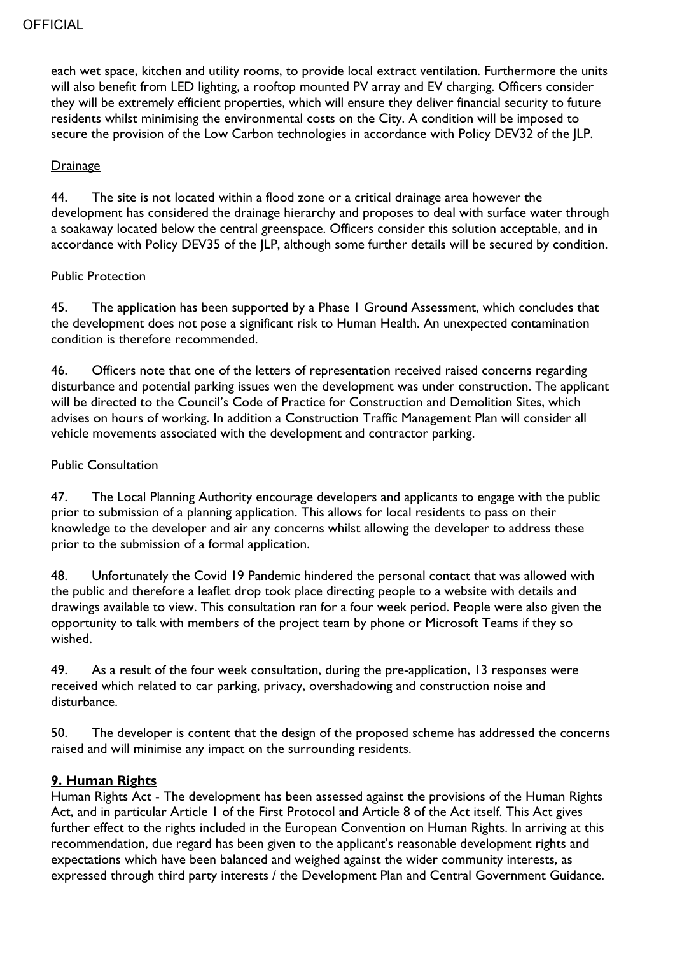each wet space, kitchen and utility rooms, to provide local extract ventilation. Furthermore the units will also benefit from LED lighting, a rooftop mounted PV array and EV charging. Officers consider they will be extremely efficient properties, which will ensure they deliver financial security to future residents whilst minimising the environmental costs on the City. A condition will be imposed to secure the provision of the Low Carbon technologies in accordance with Policy DEV32 of the JLP.

#### **Drainage**

44. The site is not located within a flood zone or a critical drainage area however the development has considered the drainage hierarchy and proposes to deal with surface water through a soakaway located below the central greenspace. Officers consider this solution acceptable, and in accordance with Policy DEV35 of the JLP, although some further details will be secured by condition.

#### Public Protection

45. The application has been supported by a Phase 1 Ground Assessment, which concludes that the development does not pose a significant risk to Human Health. An unexpected contamination condition is therefore recommended.

46. Officers note that one of the letters of representation received raised concerns regarding disturbance and potential parking issues wen the development was under construction. The applicant will be directed to the Council's Code of Practice for Construction and Demolition Sites, which advises on hours of working. In addition a Construction Traffic Management Plan will consider all vehicle movements associated with the development and contractor parking.

#### Public Consultation

47. The Local Planning Authority encourage developers and applicants to engage with the public prior to submission of a planning application. This allows for local residents to pass on their knowledge to the developer and air any concerns whilst allowing the developer to address these prior to the submission of a formal application.

48. Unfortunately the Covid 19 Pandemic hindered the personal contact that was allowed with the public and therefore a leaflet drop took place directing people to a website with details and drawings available to view. This consultation ran for a four week period. People were also given the opportunity to talk with members of the project team by phone or Microsoft Teams if they so wished.

49. As a result of the four week consultation, during the pre-application, 13 responses were received which related to car parking, privacy, overshadowing and construction noise and disturbance.

50. The developer is content that the design of the proposed scheme has addressed the concerns raised and will minimise any impact on the surrounding residents.

#### **9. Human Rights**

Human Rights Act - The development has been assessed against the provisions of the Human Rights Act, and in particular Article 1 of the First Protocol and Article 8 of the Act itself. This Act gives further effect to the rights included in the European Convention on Human Rights. In arriving at this recommendation, due regard has been given to the applicant's reasonable development rights and expectations which have been balanced and weighed against the wider community interests, as expressed through third party interests / the Development Plan and Central Government Guidance.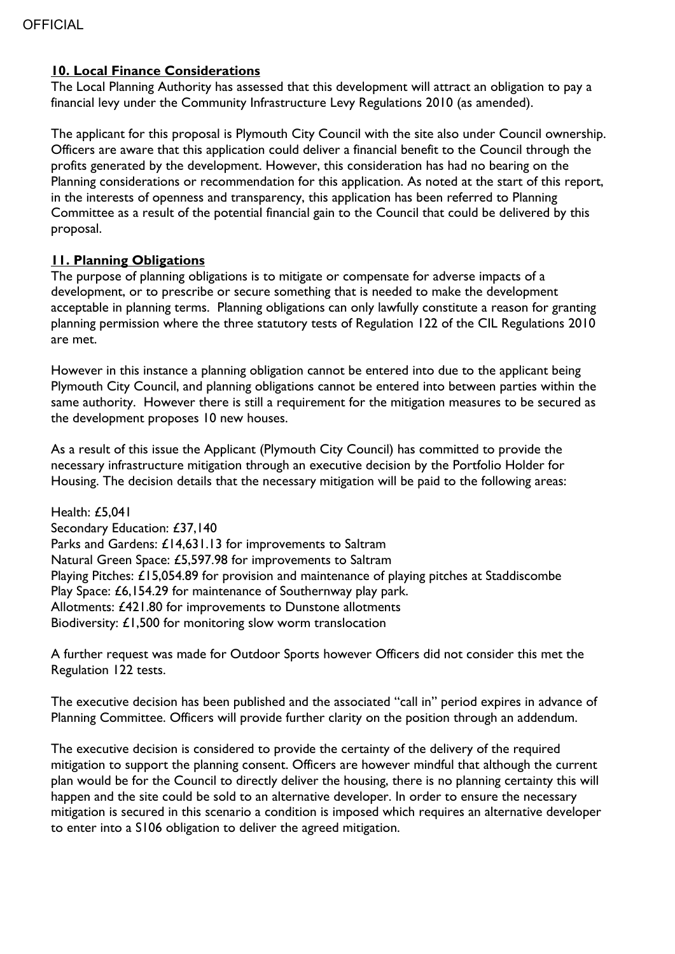#### **10. Local Finance Considerations**

The Local Planning Authority has assessed that this development will attract an obligation to pay a financial levy under the Community Infrastructure Levy Regulations 2010 (as amended).

The applicant for this proposal is Plymouth City Council with the site also under Council ownership. Officers are aware that this application could deliver a financial benefit to the Council through the profits generated by the development. However, this consideration has had no bearing on the Planning considerations or recommendation for this application. As noted at the start of this report, in the interests of openness and transparency, this application has been referred to Planning Committee as a result of the potential financial gain to the Council that could be delivered by this proposal.

#### **11. Planning Obligations**

The purpose of planning obligations is to mitigate or compensate for adverse impacts of a development, or to prescribe or secure something that is needed to make the development acceptable in planning terms. Planning obligations can only lawfully constitute a reason for granting planning permission where the three statutory tests of Regulation 122 of the CIL Regulations 2010 are met.

However in this instance a planning obligation cannot be entered into due to the applicant being Plymouth City Council, and planning obligations cannot be entered into between parties within the same authority. However there is still a requirement for the mitigation measures to be secured as the development proposes 10 new houses.

As a result of this issue the Applicant (Plymouth City Council) has committed to provide the necessary infrastructure mitigation through an executive decision by the Portfolio Holder for Housing. The decision details that the necessary mitigation will be paid to the following areas:

Health: £5,041 Secondary Education: £37,140 Parks and Gardens: £14,631.13 for improvements to Saltram Natural Green Space: £5,597.98 for improvements to Saltram Playing Pitches: £15,054.89 for provision and maintenance of playing pitches at Staddiscombe Play Space: £6,154.29 for maintenance of Southernway play park. Allotments: £421.80 for improvements to Dunstone allotments Biodiversity: £1,500 for monitoring slow worm translocation

A further request was made for Outdoor Sports however Officers did not consider this met the Regulation 122 tests.

The executive decision has been published and the associated "call in" period expires in advance of Planning Committee. Officers will provide further clarity on the position through an addendum.

The executive decision is considered to provide the certainty of the delivery of the required mitigation to support the planning consent. Officers are however mindful that although the current plan would be for the Council to directly deliver the housing, there is no planning certainty this will happen and the site could be sold to an alternative developer. In order to ensure the necessary mitigation is secured in this scenario a condition is imposed which requires an alternative developer to enter into a S106 obligation to deliver the agreed mitigation.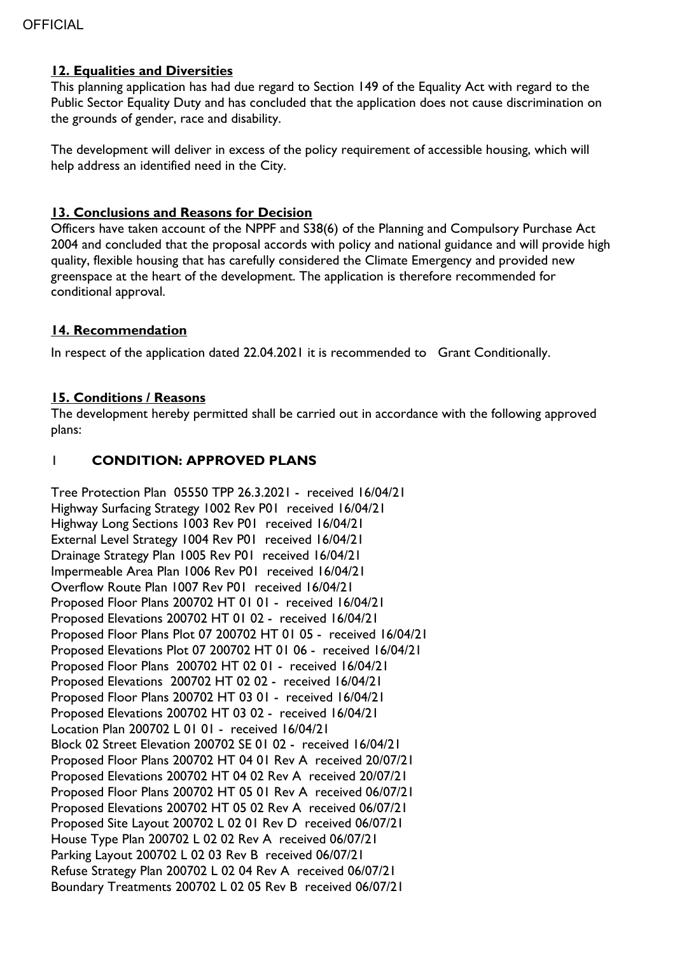#### **12. Equalities and Diversities**

This planning application has had due regard to Section 149 of the Equality Act with regard to the Public Sector Equality Duty and has concluded that the application does not cause discrimination on the grounds of gender, race and disability.

The development will deliver in excess of the policy requirement of accessible housing, which will help address an identified need in the City.

#### **13. Conclusions and Reasons for Decision**

Officers have taken account of the NPPF and S38(6) of the Planning and Compulsory Purchase Act 2004 and concluded that the proposal accords with policy and national guidance and will provide high quality, flexible housing that has carefully considered the Climate Emergency and provided new greenspace at the heart of the development. The application is therefore recommended for conditional approval.

#### **14. Recommendation**

In respect of the application dated 22.04.2021 it is recommended to Grant Conditionally.

#### **15. Conditions / Reasons**

The development hereby permitted shall be carried out in accordance with the following approved plans:

## 1 **CONDITION: APPROVED PLANS**

Tree Protection Plan 05550 TPP 26.3.2021 - received 16/04/21 Highway Surfacing Strategy 1002 Rev P01 received 16/04/21 Highway Long Sections 1003 Rev P01 received 16/04/21 External Level Strategy 1004 Rev P01 received 16/04/21 Drainage Strategy Plan 1005 Rev P01 received 16/04/21 Impermeable Area Plan 1006 Rev P01 received 16/04/21 Overflow Route Plan 1007 Rev P01 received 16/04/21 Proposed Floor Plans 200702 HT 01 01 - received 16/04/21 Proposed Elevations 200702 HT 01 02 - received 16/04/21 Proposed Floor Plans Plot 07 200702 HT 01 05 - received 16/04/21 Proposed Elevations Plot 07 200702 HT 01 06 - received 16/04/21 Proposed Floor Plans 200702 HT 02 01 - received 16/04/21 Proposed Elevations 200702 HT 02 02 - received 16/04/21 Proposed Floor Plans 200702 HT 03 01 - received 16/04/21 Proposed Elevations 200702 HT 03 02 - received 16/04/21 Location Plan 200702 L 01 01 - received 16/04/21 Block 02 Street Elevation 200702 SE 01 02 - received 16/04/21 Proposed Floor Plans 200702 HT 04 01 Rev A received 20/07/21 Proposed Elevations 200702 HT 04 02 Rev A received 20/07/21 Proposed Floor Plans 200702 HT 05 01 Rev A received 06/07/21 Proposed Elevations 200702 HT 05 02 Rev A received 06/07/21 Proposed Site Layout 200702 L 02 01 Rev D received 06/07/21 House Type Plan 200702 L 02 02 Rev A received 06/07/21 Parking Layout 200702 L 02 03 Rev B received 06/07/21 Refuse Strategy Plan 200702 L 02 04 Rev A received 06/07/21 Boundary Treatments 200702 L 02 05 Rev B received 06/07/21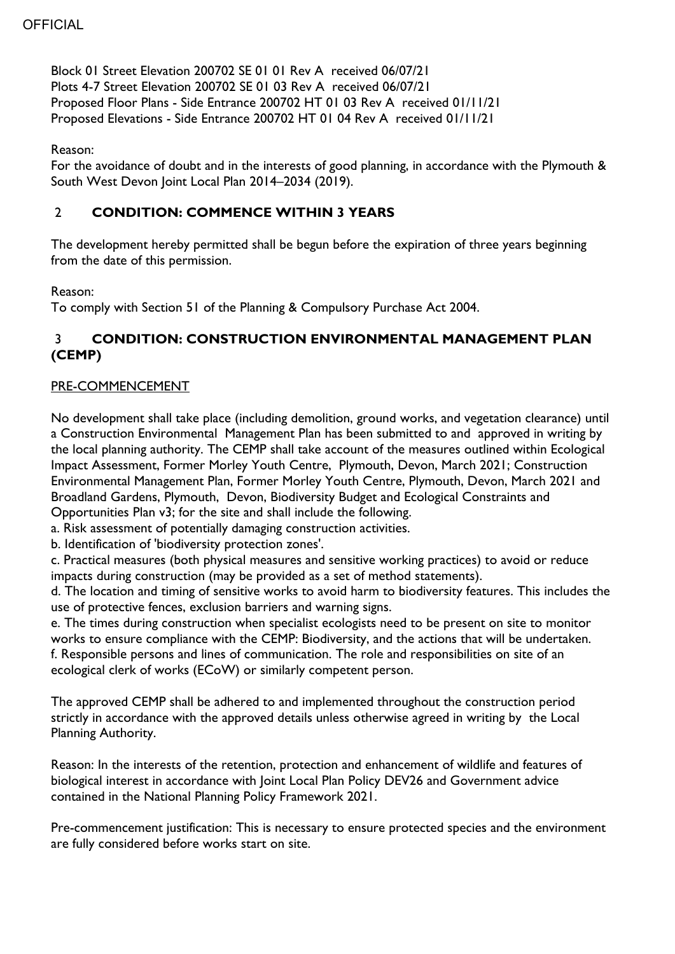Block 01 Street Elevation 200702 SE 01 01 Rev A received 06/07/21 Plots 4-7 Street Elevation 200702 SE 01 03 Rev A received 06/07/21 Proposed Floor Plans - Side Entrance 200702 HT 01 03 Rev A received 01/11/21 Proposed Elevations - Side Entrance 200702 HT 01 04 Rev A received 01/11/21

Reason:

For the avoidance of doubt and in the interests of good planning, in accordance with the Plymouth & South West Devon Joint Local Plan 2014–2034 (2019).

## 2 **CONDITION: COMMENCE WITHIN 3 YEARS**

The development hereby permitted shall be begun before the expiration of three years beginning from the date of this permission.

Reason:

To comply with Section 51 of the Planning & Compulsory Purchase Act 2004.

## 3 **CONDITION: CONSTRUCTION ENVIRONMENTAL MANAGEMENT PLAN (CEMP)**

#### PRE-COMMENCEMENT

No development shall take place (including demolition, ground works, and vegetation clearance) until a Construction Environmental Management Plan has been submitted to and approved in writing by the local planning authority. The CEMP shall take account of the measures outlined within Ecological Impact Assessment, Former Morley Youth Centre, Plymouth, Devon, March 2021; Construction Environmental Management Plan, Former Morley Youth Centre, Plymouth, Devon, March 2021 and Broadland Gardens, Plymouth, Devon, Biodiversity Budget and Ecological Constraints and Opportunities Plan v3; for the site and shall include the following.

a. Risk assessment of potentially damaging construction activities.

b. Identification of 'biodiversity protection zones'.

c. Practical measures (both physical measures and sensitive working practices) to avoid or reduce impacts during construction (may be provided as a set of method statements).

d. The location and timing of sensitive works to avoid harm to biodiversity features. This includes the use of protective fences, exclusion barriers and warning signs.

e. The times during construction when specialist ecologists need to be present on site to monitor works to ensure compliance with the CEMP: Biodiversity, and the actions that will be undertaken. f. Responsible persons and lines of communication. The role and responsibilities on site of an ecological clerk of works (ECoW) or similarly competent person.

The approved CEMP shall be adhered to and implemented throughout the construction period strictly in accordance with the approved details unless otherwise agreed in writing by the Local Planning Authority.

Reason: In the interests of the retention, protection and enhancement of wildlife and features of biological interest in accordance with Joint Local Plan Policy DEV26 and Government advice contained in the National Planning Policy Framework 2021.

Pre-commencement justification: This is necessary to ensure protected species and the environment are fully considered before works start on site.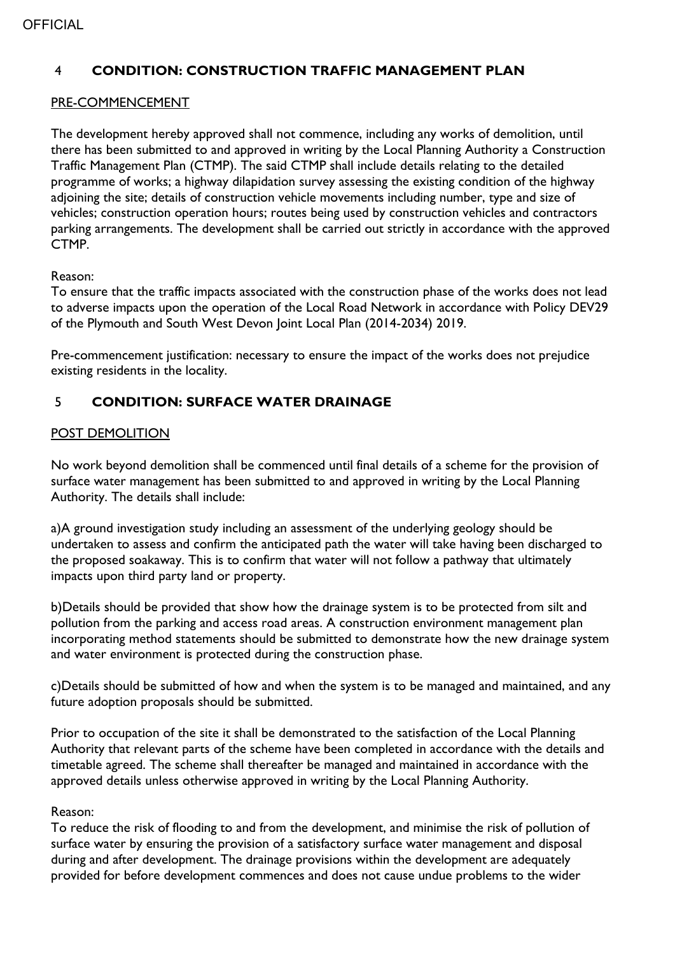## 4 **CONDITION: CONSTRUCTION TRAFFIC MANAGEMENT PLAN**

#### PRE-COMMENCEMENT

The development hereby approved shall not commence, including any works of demolition, until there has been submitted to and approved in writing by the Local Planning Authority a Construction Traffic Management Plan (CTMP). The said CTMP shall include details relating to the detailed programme of works; a highway dilapidation survey assessing the existing condition of the highway adjoining the site; details of construction vehicle movements including number, type and size of vehicles; construction operation hours; routes being used by construction vehicles and contractors parking arrangements. The development shall be carried out strictly in accordance with the approved CTMP.

#### Reason:

To ensure that the traffic impacts associated with the construction phase of the works does not lead to adverse impacts upon the operation of the Local Road Network in accordance with Policy DEV29 of the Plymouth and South West Devon Joint Local Plan (2014-2034) 2019.

Pre-commencement justification: necessary to ensure the impact of the works does not prejudice existing residents in the locality.

## 5 **CONDITION: SURFACE WATER DRAINAGE**

#### POST DEMOLITION

No work beyond demolition shall be commenced until final details of a scheme for the provision of surface water management has been submitted to and approved in writing by the Local Planning Authority. The details shall include:

a)A ground investigation study including an assessment of the underlying geology should be undertaken to assess and confirm the anticipated path the water will take having been discharged to the proposed soakaway. This is to confirm that water will not follow a pathway that ultimately impacts upon third party land or property.

b)Details should be provided that show how the drainage system is to be protected from silt and pollution from the parking and access road areas. A construction environment management plan incorporating method statements should be submitted to demonstrate how the new drainage system and water environment is protected during the construction phase.

c)Details should be submitted of how and when the system is to be managed and maintained, and any future adoption proposals should be submitted.

Prior to occupation of the site it shall be demonstrated to the satisfaction of the Local Planning Authority that relevant parts of the scheme have been completed in accordance with the details and timetable agreed. The scheme shall thereafter be managed and maintained in accordance with the approved details unless otherwise approved in writing by the Local Planning Authority.

#### Reason:

To reduce the risk of flooding to and from the development, and minimise the risk of pollution of surface water by ensuring the provision of a satisfactory surface water management and disposal during and after development. The drainage provisions within the development are adequately provided for before development commences and does not cause undue problems to the wider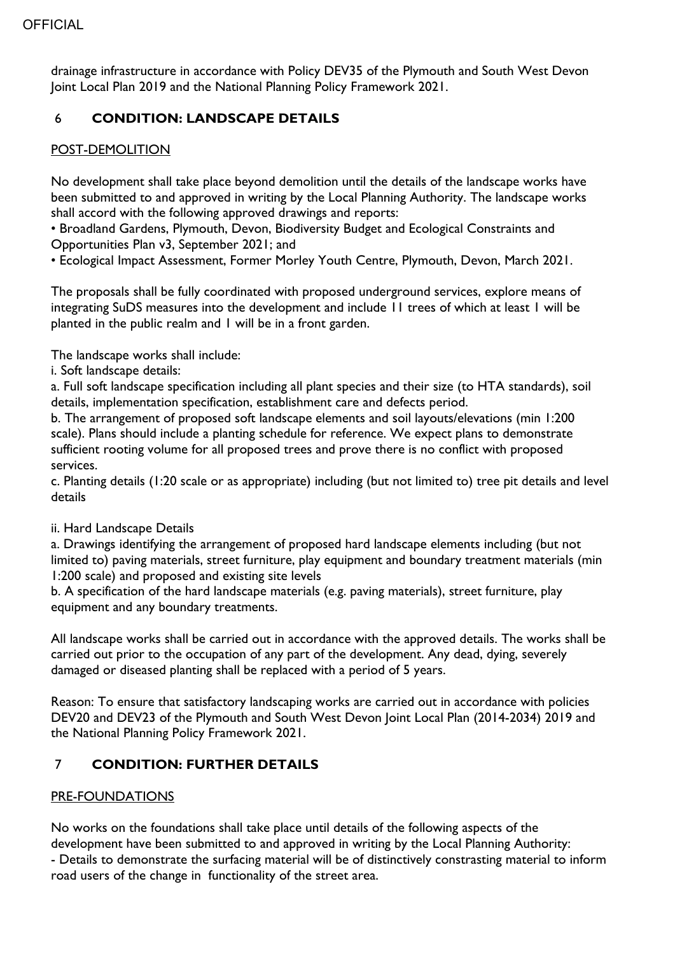drainage infrastructure in accordance with Policy DEV35 of the Plymouth and South West Devon Joint Local Plan 2019 and the National Planning Policy Framework 2021.

## 6 **CONDITION: LANDSCAPE DETAILS**

## POST-DEMOLITION

No development shall take place beyond demolition until the details of the landscape works have been submitted to and approved in writing by the Local Planning Authority. The landscape works shall accord with the following approved drawings and reports:

• Broadland Gardens, Plymouth, Devon, Biodiversity Budget and Ecological Constraints and Opportunities Plan v3, September 2021; and

• Ecological Impact Assessment, Former Morley Youth Centre, Plymouth, Devon, March 2021.

The proposals shall be fully coordinated with proposed underground services, explore means of integrating SuDS measures into the development and include 11 trees of which at least 1 will be planted in the public realm and 1 will be in a front garden.

The landscape works shall include:

i. Soft landscape details:

a. Full soft landscape specification including all plant species and their size (to HTA standards), soil details, implementation specification, establishment care and defects period.

b. The arrangement of proposed soft landscape elements and soil layouts/elevations (min 1:200 scale). Plans should include a planting schedule for reference. We expect plans to demonstrate sufficient rooting volume for all proposed trees and prove there is no conflict with proposed services.

c. Planting details (1:20 scale or as appropriate) including (but not limited to) tree pit details and level details

#### ii. Hard Landscape Details

a. Drawings identifying the arrangement of proposed hard landscape elements including (but not limited to) paving materials, street furniture, play equipment and boundary treatment materials (min 1:200 scale) and proposed and existing site levels

b. A specification of the hard landscape materials (e.g. paving materials), street furniture, play equipment and any boundary treatments.

All landscape works shall be carried out in accordance with the approved details. The works shall be carried out prior to the occupation of any part of the development. Any dead, dying, severely damaged or diseased planting shall be replaced with a period of 5 years.

Reason: To ensure that satisfactory landscaping works are carried out in accordance with policies DEV20 and DEV23 of the Plymouth and South West Devon Joint Local Plan (2014-2034) 2019 and the National Planning Policy Framework 2021.

# 7 **CONDITION: FURTHER DETAILS**

#### PRE-FOUNDATIONS

No works on the foundations shall take place until details of the following aspects of the development have been submitted to and approved in writing by the Local Planning Authority:

- Details to demonstrate the surfacing material will be of distinctively constrasting material to inform road users of the change in functionality of the street area.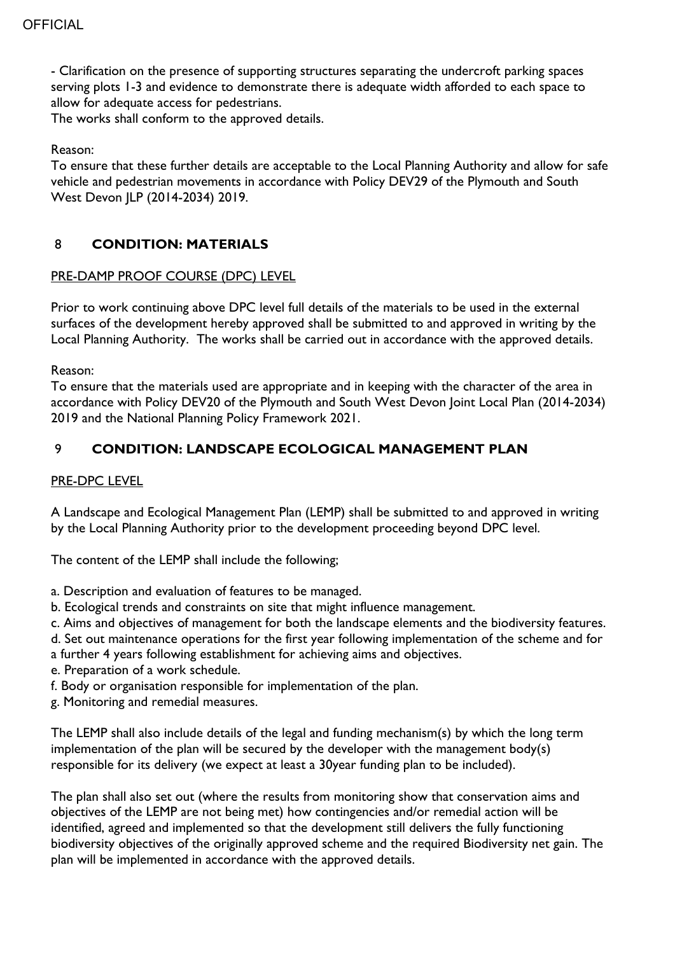- Clarification on the presence of supporting structures separating the undercroft parking spaces serving plots 1-3 and evidence to demonstrate there is adequate width afforded to each space to allow for adequate access for pedestrians.

The works shall conform to the approved details.

#### Reason:

To ensure that these further details are acceptable to the Local Planning Authority and allow for safe vehicle and pedestrian movements in accordance with Policy DEV29 of the Plymouth and South West Devon JLP (2014-2034) 2019.

#### 8 **CONDITION: MATERIALS**

#### PRE-DAMP PROOF COURSE (DPC) LEVEL

Prior to work continuing above DPC level full details of the materials to be used in the external surfaces of the development hereby approved shall be submitted to and approved in writing by the Local Planning Authority. The works shall be carried out in accordance with the approved details.

Reason:

To ensure that the materials used are appropriate and in keeping with the character of the area in accordance with Policy DEV20 of the Plymouth and South West Devon Joint Local Plan (2014-2034) 2019 and the National Planning Policy Framework 2021.

#### 9 **CONDITION: LANDSCAPE ECOLOGICAL MANAGEMENT PLAN**

#### PRE-DPC LEVEL

A Landscape and Ecological Management Plan (LEMP) shall be submitted to and approved in writing by the Local Planning Authority prior to the development proceeding beyond DPC level.

The content of the LEMP shall include the following;

- a. Description and evaluation of features to be managed.
- b. Ecological trends and constraints on site that might influence management.
- c. Aims and objectives of management for both the landscape elements and the biodiversity features.
- d. Set out maintenance operations for the first year following implementation of the scheme and for
- a further 4 years following establishment for achieving aims and objectives.
- e. Preparation of a work schedule.
- f. Body or organisation responsible for implementation of the plan.
- g. Monitoring and remedial measures.

The LEMP shall also include details of the legal and funding mechanism(s) by which the long term implementation of the plan will be secured by the developer with the management body(s) responsible for its delivery (we expect at least a 30year funding plan to be included).

The plan shall also set out (where the results from monitoring show that conservation aims and objectives of the LEMP are not being met) how contingencies and/or remedial action will be identified, agreed and implemented so that the development still delivers the fully functioning biodiversity objectives of the originally approved scheme and the required Biodiversity net gain. The plan will be implemented in accordance with the approved details.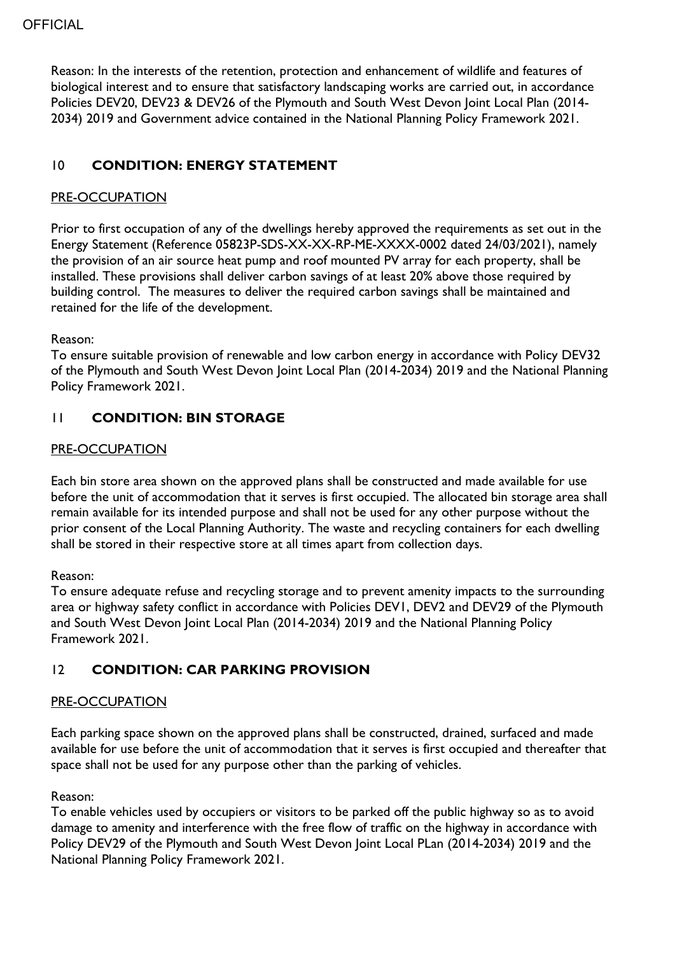Reason: In the interests of the retention, protection and enhancement of wildlife and features of biological interest and to ensure that satisfactory landscaping works are carried out, in accordance Policies DEV20, DEV23 & DEV26 of the Plymouth and South West Devon Joint Local Plan (2014- 2034) 2019 and Government advice contained in the National Planning Policy Framework 2021.

# 10 **CONDITION: ENERGY STATEMENT**

## PRE-OCCUPATION

Prior to first occupation of any of the dwellings hereby approved the requirements as set out in the Energy Statement (Reference 05823P-SDS-XX-XX-RP-ME-XXXX-0002 dated 24/03/2021), namely the provision of an air source heat pump and roof mounted PV array for each property, shall be installed. These provisions shall deliver carbon savings of at least 20% above those required by building control. The measures to deliver the required carbon savings shall be maintained and retained for the life of the development.

#### Reason:

To ensure suitable provision of renewable and low carbon energy in accordance with Policy DEV32 of the Plymouth and South West Devon Joint Local Plan (2014-2034) 2019 and the National Planning Policy Framework 2021.

## 11 **CONDITION: BIN STORAGE**

#### PRE-OCCUPATION

Each bin store area shown on the approved plans shall be constructed and made available for use before the unit of accommodation that it serves is first occupied. The allocated bin storage area shall remain available for its intended purpose and shall not be used for any other purpose without the prior consent of the Local Planning Authority. The waste and recycling containers for each dwelling shall be stored in their respective store at all times apart from collection days.

#### Reason:

To ensure adequate refuse and recycling storage and to prevent amenity impacts to the surrounding area or highway safety conflict in accordance with Policies DEV1, DEV2 and DEV29 of the Plymouth and South West Devon Joint Local Plan (2014-2034) 2019 and the National Planning Policy Framework 2021.

## 12 **CONDITION: CAR PARKING PROVISION**

#### PRE-OCCUPATION

Each parking space shown on the approved plans shall be constructed, drained, surfaced and made available for use before the unit of accommodation that it serves is first occupied and thereafter that space shall not be used for any purpose other than the parking of vehicles.

#### Reason:

To enable vehicles used by occupiers or visitors to be parked off the public highway so as to avoid damage to amenity and interference with the free flow of traffic on the highway in accordance with Policy DEV29 of the Plymouth and South West Devon Joint Local PLan (2014-2034) 2019 and the National Planning Policy Framework 2021.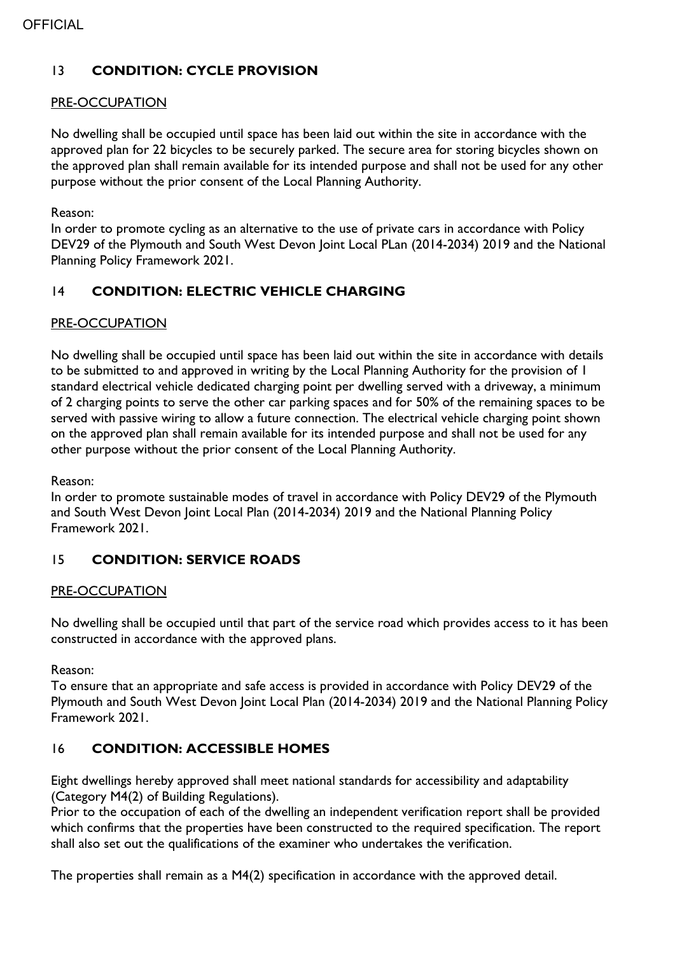# 13 **CONDITION: CYCLE PROVISION**

#### PRE-OCCUPATION

No dwelling shall be occupied until space has been laid out within the site in accordance with the approved plan for 22 bicycles to be securely parked. The secure area for storing bicycles shown on the approved plan shall remain available for its intended purpose and shall not be used for any other purpose without the prior consent of the Local Planning Authority.

#### Reason:

In order to promote cycling as an alternative to the use of private cars in accordance with Policy DEV29 of the Plymouth and South West Devon Joint Local PLan (2014-2034) 2019 and the National Planning Policy Framework 2021.

# 14 **CONDITION: ELECTRIC VEHICLE CHARGING**

## PRE-OCCUPATION

No dwelling shall be occupied until space has been laid out within the site in accordance with details to be submitted to and approved in writing by the Local Planning Authority for the provision of 1 standard electrical vehicle dedicated charging point per dwelling served with a driveway, a minimum of 2 charging points to serve the other car parking spaces and for 50% of the remaining spaces to be served with passive wiring to allow a future connection. The electrical vehicle charging point shown on the approved plan shall remain available for its intended purpose and shall not be used for any other purpose without the prior consent of the Local Planning Authority.

Reason:

In order to promote sustainable modes of travel in accordance with Policy DEV29 of the Plymouth and South West Devon Joint Local Plan (2014-2034) 2019 and the National Planning Policy Framework 2021.

## 15 **CONDITION: SERVICE ROADS**

#### PRE-OCCUPATION

No dwelling shall be occupied until that part of the service road which provides access to it has been constructed in accordance with the approved plans.

Reason:

To ensure that an appropriate and safe access is provided in accordance with Policy DEV29 of the Plymouth and South West Devon Joint Local Plan (2014-2034) 2019 and the National Planning Policy Framework 2021.

## 16 **CONDITION: ACCESSIBLE HOMES**

Eight dwellings hereby approved shall meet national standards for accessibility and adaptability (Category M4(2) of Building Regulations).

Prior to the occupation of each of the dwelling an independent verification report shall be provided which confirms that the properties have been constructed to the required specification. The report shall also set out the qualifications of the examiner who undertakes the verification.

The properties shall remain as a M4(2) specification in accordance with the approved detail.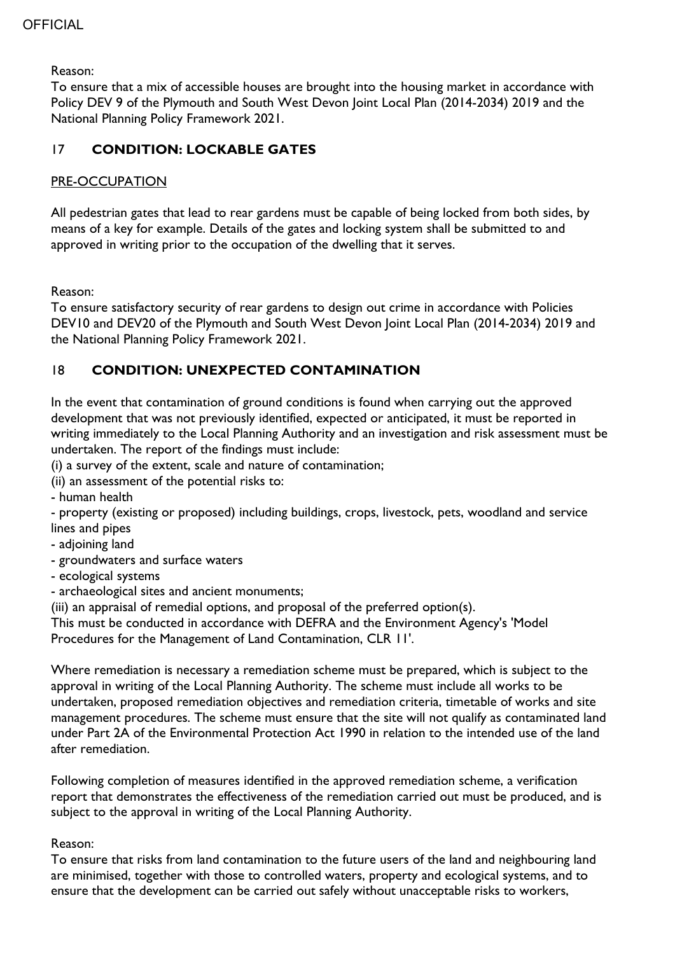Reason:

To ensure that a mix of accessible houses are brought into the housing market in accordance with Policy DEV 9 of the Plymouth and South West Devon Joint Local Plan (2014-2034) 2019 and the National Planning Policy Framework 2021.

# 17 **CONDITION: LOCKABLE GATES**

## PRE-OCCUPATION

All pedestrian gates that lead to rear gardens must be capable of being locked from both sides, by means of a key for example. Details of the gates and locking system shall be submitted to and approved in writing prior to the occupation of the dwelling that it serves.

Reason:

To ensure satisfactory security of rear gardens to design out crime in accordance with Policies DEV10 and DEV20 of the Plymouth and South West Devon Joint Local Plan (2014-2034) 2019 and the National Planning Policy Framework 2021.

# 18 **CONDITION: UNEXPECTED CONTAMINATION**

In the event that contamination of ground conditions is found when carrying out the approved development that was not previously identified, expected or anticipated, it must be reported in writing immediately to the Local Planning Authority and an investigation and risk assessment must be undertaken. The report of the findings must include:

(i) a survey of the extent, scale and nature of contamination;

- (ii) an assessment of the potential risks to:
- human health

- property (existing or proposed) including buildings, crops, livestock, pets, woodland and service lines and pipes

- adjoining land
- groundwaters and surface waters
- ecological systems
- archaeological sites and ancient monuments;

(iii) an appraisal of remedial options, and proposal of the preferred option(s).

This must be conducted in accordance with DEFRA and the Environment Agency's 'Model Procedures for the Management of Land Contamination, CLR 11'.

Where remediation is necessary a remediation scheme must be prepared, which is subject to the approval in writing of the Local Planning Authority. The scheme must include all works to be undertaken, proposed remediation objectives and remediation criteria, timetable of works and site management procedures. The scheme must ensure that the site will not qualify as contaminated land under Part 2A of the Environmental Protection Act 1990 in relation to the intended use of the land after remediation.

Following completion of measures identified in the approved remediation scheme, a verification report that demonstrates the effectiveness of the remediation carried out must be produced, and is subject to the approval in writing of the Local Planning Authority.

## Reason:

To ensure that risks from land contamination to the future users of the land and neighbouring land are minimised, together with those to controlled waters, property and ecological systems, and to ensure that the development can be carried out safely without unacceptable risks to workers,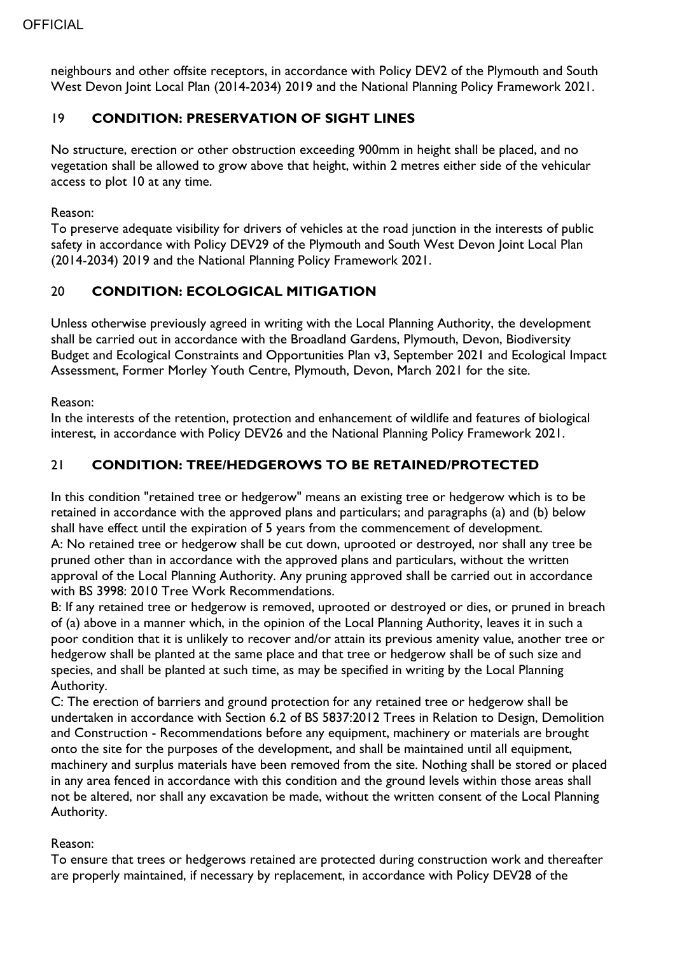neighbours and other offsite receptors, in accordance with Policy DEV2 of the Plymouth and South West Devon Joint Local Plan (2014-2034) 2019 and the National Planning Policy Framework 2021.

## 19 **CONDITION: PRESERVATION OF SIGHT LINES**

No structure, erection or other obstruction exceeding 900mm in height shall be placed, and no vegetation shall be allowed to grow above that height, within 2 metres either side of the vehicular access to plot 10 at any time.

#### Reason:

To preserve adequate visibility for drivers of vehicles at the road junction in the interests of public safety in accordance with Policy DEV29 of the Plymouth and South West Devon Joint Local Plan (2014-2034) 2019 and the National Planning Policy Framework 2021.

# 20 **CONDITION: ECOLOGICAL MITIGATION**

Unless otherwise previously agreed in writing with the Local Planning Authority, the development shall be carried out in accordance with the Broadland Gardens, Plymouth, Devon, Biodiversity Budget and Ecological Constraints and Opportunities Plan v3, September 2021 and Ecological Impact Assessment, Former Morley Youth Centre, Plymouth, Devon, March 2021 for the site.

Reason:

In the interests of the retention, protection and enhancement of wildlife and features of biological interest, in accordance with Policy DEV26 and the National Planning Policy Framework 2021.

## 21 **CONDITION: TREE/HEDGEROWS TO BE RETAINED/PROTECTED**

In this condition "retained tree or hedgerow" means an existing tree or hedgerow which is to be retained in accordance with the approved plans and particulars; and paragraphs (a) and (b) below shall have effect until the expiration of 5 years from the commencement of development. A: No retained tree or hedgerow shall be cut down, uprooted or destroyed, nor shall any tree be pruned other than in accordance with the approved plans and particulars, without the written approval of the Local Planning Authority. Any pruning approved shall be carried out in accordance with BS 3998: 2010 Tree Work Recommendations.

B: If any retained tree or hedgerow is removed, uprooted or destroyed or dies, or pruned in breach of (a) above in a manner which, in the opinion of the Local Planning Authority, leaves it in such a poor condition that it is unlikely to recover and/or attain its previous amenity value, another tree or hedgerow shall be planted at the same place and that tree or hedgerow shall be of such size and species, and shall be planted at such time, as may be specified in writing by the Local Planning Authority.

C: The erection of barriers and ground protection for any retained tree or hedgerow shall be undertaken in accordance with Section 6.2 of BS 5837:2012 Trees in Relation to Design, Demolition and Construction - Recommendations before any equipment, machinery or materials are brought onto the site for the purposes of the development, and shall be maintained until all equipment, machinery and surplus materials have been removed from the site. Nothing shall be stored or placed in any area fenced in accordance with this condition and the ground levels within those areas shall not be altered, nor shall any excavation be made, without the written consent of the Local Planning Authority.

## Reason:

To ensure that trees or hedgerows retained are protected during construction work and thereafter are properly maintained, if necessary by replacement, in accordance with Policy DEV28 of the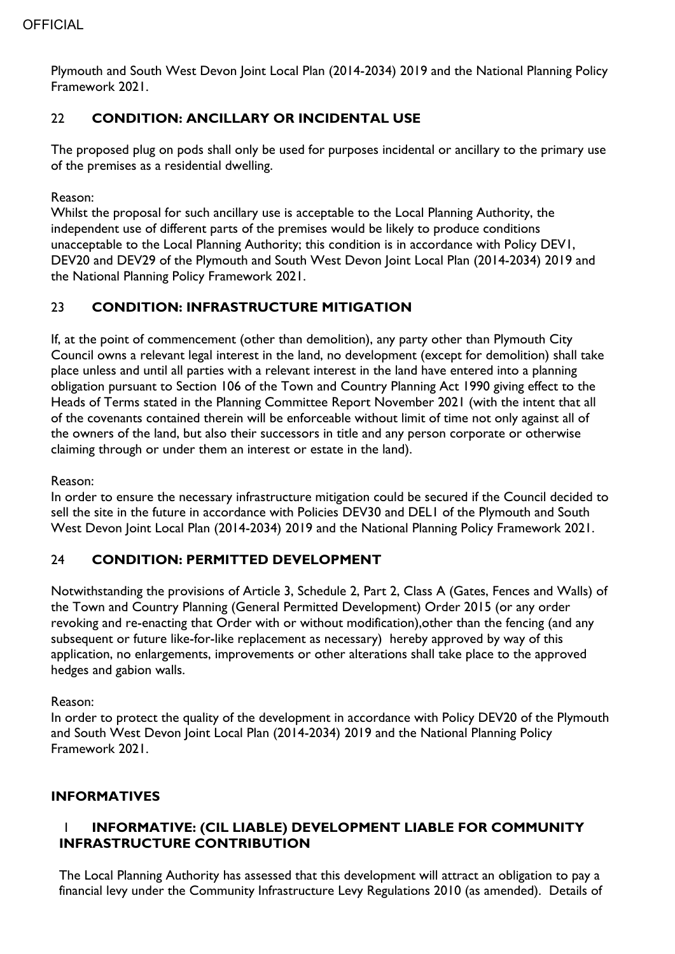Plymouth and South West Devon Joint Local Plan (2014-2034) 2019 and the National Planning Policy Framework 2021.

## 22 **CONDITION: ANCILLARY OR INCIDENTAL USE**

The proposed plug on pods shall only be used for purposes incidental or ancillary to the primary use of the premises as a residential dwelling.

Reason:

Whilst the proposal for such ancillary use is acceptable to the Local Planning Authority, the independent use of different parts of the premises would be likely to produce conditions unacceptable to the Local Planning Authority; this condition is in accordance with Policy DEV1, DEV20 and DEV29 of the Plymouth and South West Devon Joint Local Plan (2014-2034) 2019 and the National Planning Policy Framework 2021.

## 23 **CONDITION: INFRASTRUCTURE MITIGATION**

If, at the point of commencement (other than demolition), any party other than Plymouth City Council owns a relevant legal interest in the land, no development (except for demolition) shall take place unless and until all parties with a relevant interest in the land have entered into a planning obligation pursuant to Section 106 of the Town and Country Planning Act 1990 giving effect to the Heads of Terms stated in the Planning Committee Report November 2021 (with the intent that all of the covenants contained therein will be enforceable without limit of time not only against all of the owners of the land, but also their successors in title and any person corporate or otherwise claiming through or under them an interest or estate in the land).

Reason:

In order to ensure the necessary infrastructure mitigation could be secured if the Council decided to sell the site in the future in accordance with Policies DEV30 and DEL1 of the Plymouth and South West Devon Joint Local Plan (2014-2034) 2019 and the National Planning Policy Framework 2021.

## 24 **CONDITION: PERMITTED DEVELOPMENT**

Notwithstanding the provisions of Article 3, Schedule 2, Part 2, Class A (Gates, Fences and Walls) of the Town and Country Planning (General Permitted Development) Order 2015 (or any order revoking and re-enacting that Order with or without modification),other than the fencing (and any subsequent or future like-for-like replacement as necessary) hereby approved by way of this application, no enlargements, improvements or other alterations shall take place to the approved hedges and gabion walls.

Reason:

In order to protect the quality of the development in accordance with Policy DEV20 of the Plymouth and South West Devon Joint Local Plan (2014-2034) 2019 and the National Planning Policy Framework 2021.

## **INFORMATIVES**

## 1 **INFORMATIVE: (CIL LIABLE) DEVELOPMENT LIABLE FOR COMMUNITY INFRASTRUCTURE CONTRIBUTION**

The Local Planning Authority has assessed that this development will attract an obligation to pay a financial levy under the Community Infrastructure Levy Regulations 2010 (as amended). Details of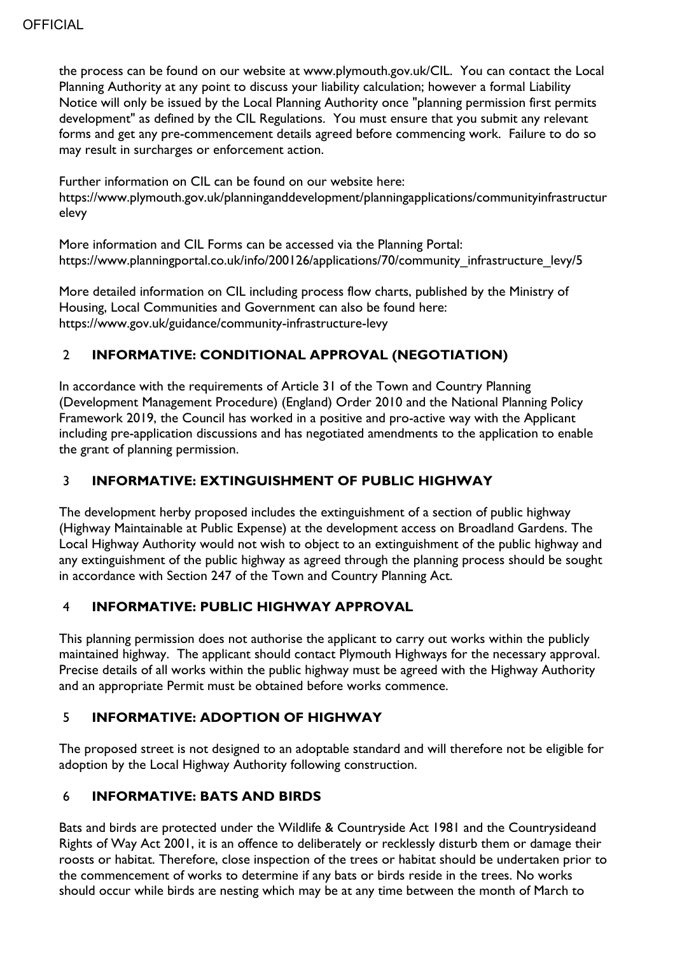the process can be found on our website at www.plymouth.gov.uk/CIL. You can contact the Local Planning Authority at any point to discuss your liability calculation; however a formal Liability Notice will only be issued by the Local Planning Authority once "planning permission first permits development" as defined by the CIL Regulations. You must ensure that you submit any relevant forms and get any pre-commencement details agreed before commencing work. Failure to do so may result in surcharges or enforcement action.

Further information on CIL can be found on our website here: https://www.plymouth.gov.uk/planninganddevelopment/planningapplications/communityinfrastructur elevy

More information and CIL Forms can be accessed via the Planning Portal: https://www.planningportal.co.uk/info/200126/applications/70/community\_infrastructure\_levy/5

More detailed information on CIL including process flow charts, published by the Ministry of Housing, Local Communities and Government can also be found here: https://www.gov.uk/guidance/community-infrastructure-levy

## 2 **INFORMATIVE: CONDITIONAL APPROVAL (NEGOTIATION)**

In accordance with the requirements of Article 31 of the Town and Country Planning (Development Management Procedure) (England) Order 2010 and the National Planning Policy Framework 2019, the Council has worked in a positive and pro-active way with the Applicant including pre-application discussions and has negotiated amendments to the application to enable the grant of planning permission.

## 3 **INFORMATIVE: EXTINGUISHMENT OF PUBLIC HIGHWAY**

The development herby proposed includes the extinguishment of a section of public highway (Highway Maintainable at Public Expense) at the development access on Broadland Gardens. The Local Highway Authority would not wish to object to an extinguishment of the public highway and any extinguishment of the public highway as agreed through the planning process should be sought in accordance with Section 247 of the Town and Country Planning Act.

## 4 **INFORMATIVE: PUBLIC HIGHWAY APPROVAL**

This planning permission does not authorise the applicant to carry out works within the publicly maintained highway. The applicant should contact Plymouth Highways for the necessary approval. Precise details of all works within the public highway must be agreed with the Highway Authority and an appropriate Permit must be obtained before works commence.

## 5 **INFORMATIVE: ADOPTION OF HIGHWAY**

The proposed street is not designed to an adoptable standard and will therefore not be eligible for adoption by the Local Highway Authority following construction.

# 6 **INFORMATIVE: BATS AND BIRDS**

Bats and birds are protected under the Wildlife & Countryside Act 1981 and the Countrysideand Rights of Way Act 2001, it is an offence to deliberately or recklessly disturb them or damage their roosts or habitat. Therefore, close inspection of the trees or habitat should be undertaken prior to the commencement of works to determine if any bats or birds reside in the trees. No works should occur while birds are nesting which may be at any time between the month of March to